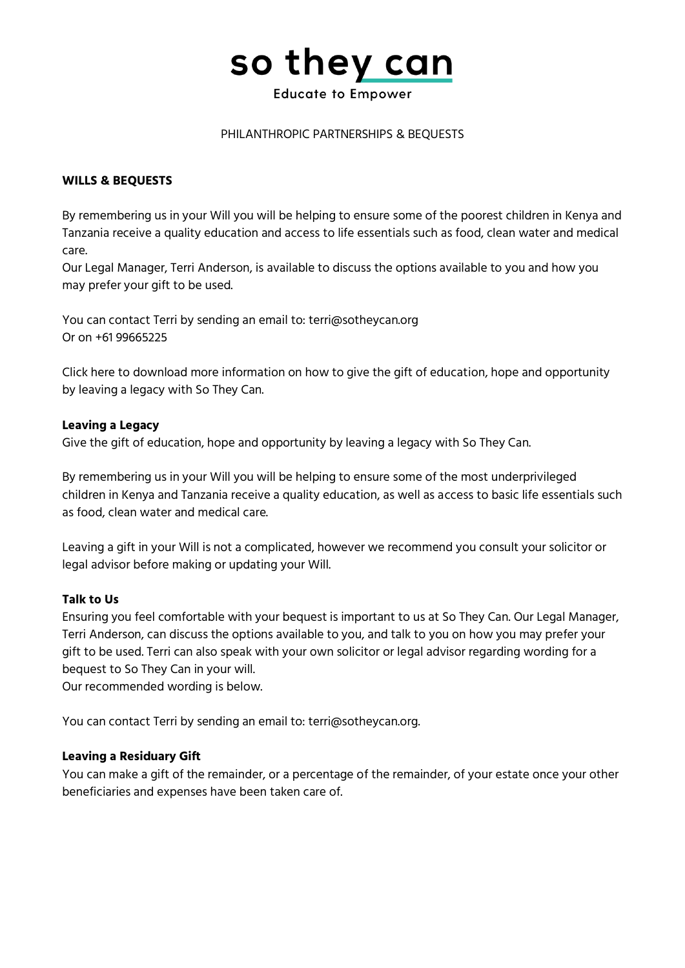# so they can

#### **Educate to Empower**

#### PHILANTHROPIC PARTNERSHIPS & BEQUESTS

#### **WILLS & BEQUESTS**

By remembering us in your Will you will be helping to ensure some of the poorest children in Kenya and Tanzania receive a quality education and access to life essentials such as food, clean water and medical care.

Our Legal Manager, Terri Anderson, is available to discuss the options available to you and how you may prefer your gift to be used.

You can contact Terri by sending an email to: terri@sotheycan.org Or on +61 99665225

Click here to download more information on how to give the gift of education, hope and opportunity by leaving a legacy with So They Can.

#### **Leaving a Legacy**

Give the gift of education, hope and opportunity by leaving a legacy with So They Can.

By remembering us in your Will you will be helping to ensure some of the most underprivileged children in Kenya and Tanzania receive a quality education, as well as access to basic life essentials such as food, clean water and medical care.

Leaving a gift in your Will is not a complicated, however we recommend you consult your solicitor or legal advisor before making or updating your Will.

#### **Talk to Us**

Ensuring you feel comfortable with your bequest is important to us at So They Can. Our Legal Manager, Terri Anderson, can discuss the options available to you, and talk to you on how you may prefer your gift to be used. Terri can also speak with your own solicitor or legal advisor regarding wording for a bequest to So They Can in your will.

Our recommended wording is below.

You can contact Terri by sending an email to: terri@sotheycan.org.

## **Leaving a Residuary Gift**

You can make a gift of the remainder, or a percentage of the remainder, of your estate once your other beneficiaries and expenses have been taken care of.